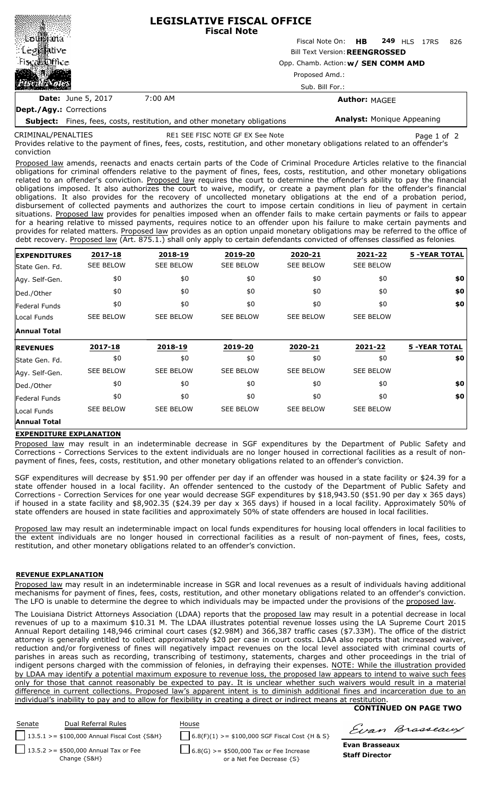|                           |                                     | <b>LEGISLATIVE FISCAL OFFICE</b><br><b>Fiscal Note</b> |  |  |  |  |  |
|---------------------------|-------------------------------------|--------------------------------------------------------|--|--|--|--|--|
|                           |                                     | Fiscal Note On: HB 249 HLS<br>826<br>17RS              |  |  |  |  |  |
| : Leg                     |                                     | <b>Bill Text Version: REENGROSSED</b>                  |  |  |  |  |  |
| Fiscal five               | Opp. Chamb. Action: w/ SEN COMM AMD |                                                        |  |  |  |  |  |
| فتقن                      | Proposed Amd.:                      |                                                        |  |  |  |  |  |
|                           |                                     | Sub. Bill For.:                                        |  |  |  |  |  |
| <b>Date:</b> June 5, 2017 | 7:00 AM                             | <b>Author: MAGEE</b>                                   |  |  |  |  |  |
| Dept./Agy.: Corrections   |                                     |                                                        |  |  |  |  |  |

**Subject:** Fines, fees, costs, restitution, and other monetary obligations **Analyst:** Monique Appeaning

CRIMINAL/PENALTIES

related to an offender's conviction RE1 SEE FISC NOTE GF EX See Note Page 1 of 2

Provides relative to the payment of fines, fees, costs, restitution, and other monetary obligations related to an offender's conviction

Proposed law amends, reenacts and enacts certain parts of the Code of Criminal Procedure Articles relative to the financial obligations for criminal offenders relative to the payment of fines, fees, costs, restitution, and other monetary obligations related to an offender's conviction. Proposed law requires the court to determine the offender's ability to pay the financial obligations imposed. It also authorizes the court to waive, modify, or create a payment plan for the offender's financial obligations. It also provides for the recovery of uncollected monetary obligations at the end of a probation period, disbursement of collected payments and authorizes the court to impose certain conditions in lieu of payment in certain situations. Proposed law provides for penalties imposed when an offender fails to make certain payments or fails to appear for a hearing relative to missed payments, requires notice to an offender upon his failure to make certain payments and provides for related matters. Proposed law provides as an option unpaid monetary obligations may be referred to the office of debt recovery. Proposed law (Art. 875.1.) shall only apply to certain defendants convicted of offenses classified as felonies.

| <b>EXPENDITURES</b> | 2017-18          | 2018-19          | 2019-20          | 2020-21          | 2021-22          | <b>5 -YEAR TOTAL</b> |
|---------------------|------------------|------------------|------------------|------------------|------------------|----------------------|
| State Gen. Fd.      | <b>SEE BELOW</b> | <b>SEE BELOW</b> | <b>SEE BELOW</b> | <b>SEE BELOW</b> | <b>SEE BELOW</b> |                      |
| Agy. Self-Gen.      | \$0              | \$0              | \$0              | \$0              | \$0              | \$0                  |
| Ded./Other          | \$0              | \$0              | \$0              | \$0              | \$0              | \$0                  |
| Federal Funds       | \$0              | \$0              | \$0              | \$0              | \$0              | \$0                  |
| Local Funds         | <b>SEE BELOW</b> | <b>SEE BELOW</b> | <b>SEE BELOW</b> | <b>SEE BELOW</b> | <b>SEE BELOW</b> |                      |
| <b>Annual Total</b> |                  |                  |                  |                  |                  |                      |
| <b>REVENUES</b>     | 2017-18          | 2018-19          | 2019-20          | 2020-21          | 2021-22          | <b>5 -YEAR TOTAL</b> |
| State Gen. Fd.      | \$0              | \$0              | \$0              | \$0              | \$0              | \$0                  |
| Agy. Self-Gen.      | <b>SEE BELOW</b> | <b>SEE BELOW</b> | <b>SEE BELOW</b> | <b>SEE BELOW</b> | <b>SEE BELOW</b> |                      |
| Ded./Other          | \$0              | \$0              | \$0              | \$0              | \$0              | \$0                  |
|                     |                  |                  |                  |                  |                  |                      |
| Federal Funds       | \$0              | \$0              | \$0              | \$0              | \$0              | \$0                  |
| Local Funds         | <b>SEE BELOW</b> | <b>SEE BELOW</b> | <b>SEE BELOW</b> | <b>SEE BELOW</b> | <b>SEE BELOW</b> |                      |

## **EXPENDITURE EXPLANATION**

Proposed law may result in an indeterminable decrease in SGF expenditures by the Department of Public Safety and Corrections - Corrections Services to the extent individuals are no longer housed in correctional facilities as a result of nonpayment of fines, fees, costs, restitution, and other monetary obligations related to an offender's conviction.

SGF expenditures will decrease by \$51.90 per offender per day if an offender was housed in a state facility or \$24.39 for a state offender housed in a local facility. An offender sentenced to the custody of the Department of Public Safety and Corrections - Correction Services for one year would decrease SGF expenditures by \$18,943.50 (\$51.90 per day x 365 days) if housed in a state facility and \$8,902.35 (\$24.39 per day x 365 days) if housed in a local facility. Approximately 50% of state offenders are housed in state facilities and approximately 50% of state offenders are housed in local facilities.

Proposed law may result an indeterminable impact on local funds expenditures for housing local offenders in local facilities to the extent individuals are no longer housed in correctional facilities as a result of non-payment of fines, fees, costs, restitution, and other monetary obligations related to an offender's conviction.

## **REVENUE EXPLANATION**

Proposed law may result in an indeterminable increase in SGR and local revenues as a result of individuals having additional mechanisms for payment of fines, fees, costs, restitution, and other monetary obligations related to an offender's conviction. The LFO is unable to determine the degree to which individuals may be impacted under the provisions of the proposed law.

The Louisiana District Attorneys Association (LDAA) reports that the proposed law may result in a potential decrease in local revenues of up to a maximum \$10.31 M. The LDAA illustrates potential revenue losses using the LA Supreme Court 2015 Annual Report detailing 148,946 criminal court cases (\$2.98M) and 366,387 traffic cases (\$7.33M). The office of the district attorney is generally entitled to collect approximately \$20 per case in court costs. LDAA also reports that increased waiver reduction and/or forgiveness of fines will negatively impact revenues on the local level associated with criminal courts of parishes in areas such as recording, transcribing of testimony, statements, charges and other proceedings in the trial of indigent persons charged with the commission of felonies, in defraying their expenses. NOTE: While the illustration provided by LDAA may identify a potential maximum exposure to revenue loss, the proposed law appears to intend to waive such fees only for those that cannot reasonably be expected to pay. It is unclear whether such waivers would result in a material difference in current collections. Proposed law's apparent intent is to diminish additional fines and incarceration due to an individual's inability to pay and to allow for flexibility in creating a direct or indirect means at restitution.

## **CONTINUED ON PAGE TWO**



Evan Brasseaux

**Evan Brasseaux Staff Director**